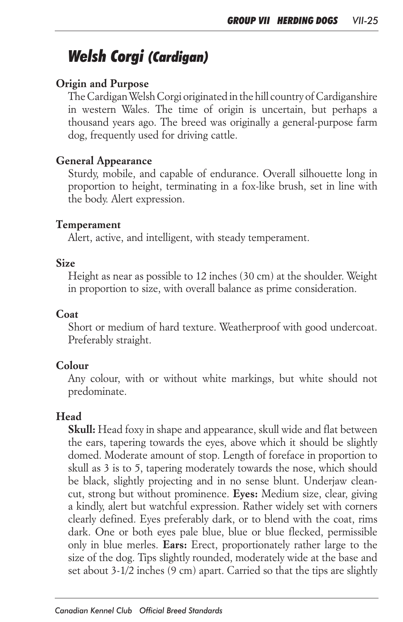# *Welsh Corgi (Cardigan)*

# *Origin and Purpose*

*The Cardigan Welsh Corgi originated in the hill country of Cardiganshire in western Wales. The time of origin is uncertain, but perhaps a thousand years ago. The breed was originally a general-purpose farm dog, frequently used for driving cattle.*

#### *General Appearance*

*Sturdy, mobile, and capable of endurance. Overall silhouette long in proportion to height, terminating in a fox-like brush, set in line with the body. Alert expression.*

#### *Temperament*

*Alert, active, and intelligent, with steady temperament.*

#### *Size*

*Height as near as possible to 12 inches (30 cm) at the shoulder. Weight in proportion to size, with overall balance as prime consideration.*

#### *Coat*

*Short or medium of hard texture. Weatherproof with good undercoat. Preferably straight.*

## *Colour*

Any colour, with or without white markings, but white should not *predominate.*

## *Head*

*Skull: Head foxy in shape and appearance, skull wide and flat between the ears, tapering towards the eyes, above which it should be slightly domed. Moderate amount of stop. Length of foreface in proportion to skull as 3 is to 5, tapering moderately towards the nose, which should be black, slightly projecting and in no sense blunt. Underjaw cleancut, strong but without prominence. Eyes: Medium size, clear, giving a kindly, alert but watchful expression. Rather widely set with corners clearly defined. Eyes preferably dark, or to blend with the coat, rims*  dark. One or both eyes pale blue, blue or blue flecked, permissible *only in blue merles. Ears: Erect, proportionately rather large to the size of the dog. Tips slightly rounded, moderately wide at the base and set about 3-1/2 inches (9 cm) apart. Carried so that the tips are slightly*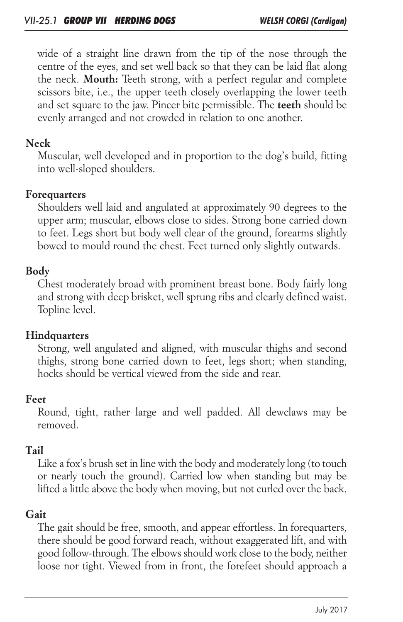wide of a straight line drawn from the tip of the nose through the *centre of the eyes, and set well back so that they can be laid flat along the neck. Mouth: Teeth strong, with a perfect regular and complete scissors bite, i.e., the upper teeth closely overlapping the lower teeth*  and set square to the jaw. Pincer bite permissible. The **teeth** should be *evenly arranged and not crowded in relation to one another.*

# *Neck*

*Muscular, well developed and in proportion to the dog's build, fitting into well-sloped shoulders.*

## *Forequarters*

*Shoulders well laid and angulated at approximately 90 degrees to the upper arm; muscular, elbows close to sides. Strong bone carried down*  to feet. Legs short but body well clear of the ground, forearms slightly *bowed to mould round the chest. Feet turned only slightly outwards.*

## *Body*

*Chest moderately broad with prominent breast bone. Body fairly long and strong with deep brisket, well sprung ribs and clearly defined waist. Topline level.*

## *Hindquarters*

*Strong, well angulated and aligned, with muscular thighs and second thighs, strong bone carried down to feet, legs short; when standing, hocks should be vertical viewed from the side and rear.*

#### *Feet*

*Round, tight, rather large and well padded. All dewclaws may be removed.*

## *Tail*

*Like a fox's brush set in line with the body and moderately long (to touch or nearly touch the ground). Carried low when standing but may be lifted a little above the body when moving, but not curled over the back.*

## *Gait*

*The gait should be free, smooth, and appear effortless. In forequarters, there should be good forward reach, without exaggerated lift, and with good follow-through. The elbows should work close to the body, neither*  loose nor tight. Viewed from in front, the forefeet should approach a